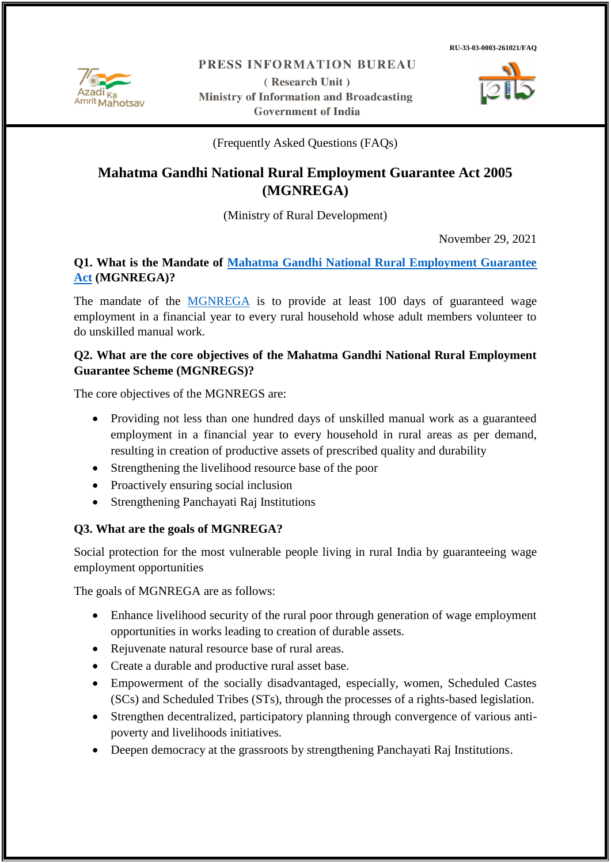

#### PRESS INFORMATION BUREAU

(Research Unit) **Ministry of Information and Broadcasting Government of India** 



(Frequently Asked Questions (FAQs)

# **Mahatma Gandhi National Rural Employment Guarantee Act 2005 (MGNREGA)**

(Ministry of Rural Development)

November 29, 2021

### **Q1. What is the Mandate of [Mahatma Gandhi National Rural Employment Guarantee](https://nrega.nic.in/amendments_2005_2018.pdf)  [Act](https://nrega.nic.in/amendments_2005_2018.pdf) (MGNREGA)?**

The mandate of the [MGNREGA](https://nrega.nic.in/netnrega/home.aspx) is to provide at least 100 days of guaranteed wage employment in a financial year to every rural household whose adult members volunteer to do unskilled manual work.

#### **Q2. What are the core objectives of the Mahatma Gandhi National Rural Employment Guarantee Scheme (MGNREGS)?**

The core objectives of the MGNREGS are:

- Providing not less than one hundred days of unskilled manual work as a guaranteed employment in a financial year to every household in rural areas as per demand, resulting in creation of productive assets of prescribed quality and durability
- Strengthening the livelihood resource base of the poor
- Proactively ensuring social inclusion
- Strengthening Panchayati Raj Institutions

#### **Q3. What are the goals of MGNREGA?**

Social protection for the most vulnerable people living in rural India by guaranteeing wage employment opportunities

The goals of MGNREGA are as follows:

- Enhance livelihood security of the rural poor through generation of wage employment opportunities in works leading to creation of durable assets.
- Rejuvenate natural resource base of rural areas.
- Create a durable and productive rural asset base.
- Empowerment of the socially disadvantaged, especially, women, Scheduled Castes (SCs) and Scheduled Tribes (STs), through the processes of a rights-based legislation.
- Strengthen decentralized, participatory planning through convergence of various antipoverty and livelihoods initiatives.
- Deepen democracy at the grassroots by strengthening Panchayati Raj Institutions.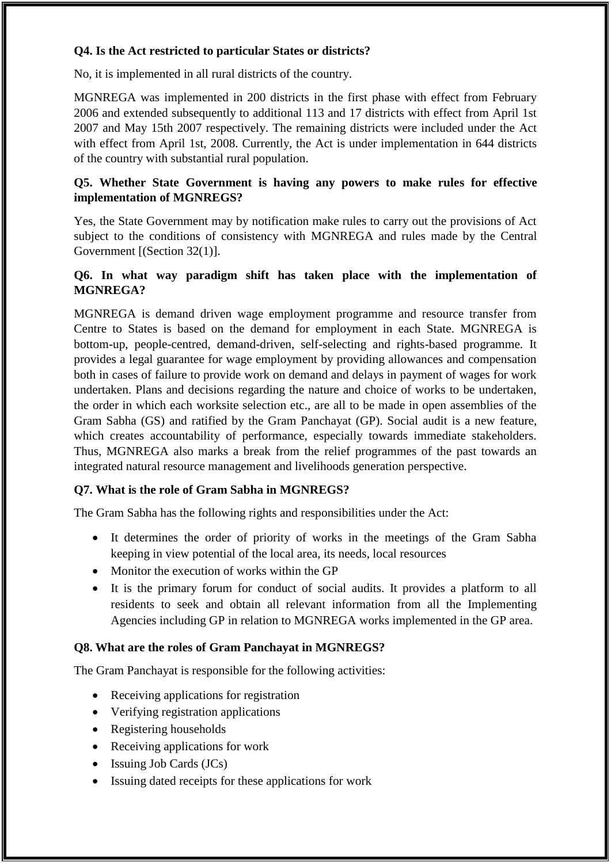## **Q4. Is the Act restricted to particular States or districts?**

No, it is implemented in all rural districts of the country.

MGNREGA was implemented in 200 districts in the first phase with effect from February 2006 and extended subsequently to additional 113 and 17 districts with effect from April 1st 2007 and May 15th 2007 respectively. The remaining districts were included under the Act with effect from April 1st, 2008. Currently, the Act is under implementation in 644 districts of the country with substantial rural population.

### **Q5. Whether State Government is having any powers to make rules for effective implementation of MGNREGS?**

Yes, the State Government may by notification make rules to carry out the provisions of Act subject to the conditions of consistency with MGNREGA and rules made by the Central Government [(Section 32(1)].

## **Q6. In what way paradigm shift has taken place with the implementation of MGNREGA?**

MGNREGA is demand driven wage employment programme and resource transfer from Centre to States is based on the demand for employment in each State. MGNREGA is bottom-up, people-centred, demand-driven, self-selecting and rights-based programme. It provides a legal guarantee for wage employment by providing allowances and compensation both in cases of failure to provide work on demand and delays in payment of wages for work undertaken. Plans and decisions regarding the nature and choice of works to be undertaken, the order in which each worksite selection etc., are all to be made in open assemblies of the Gram Sabha (GS) and ratified by the Gram Panchayat (GP). Social audit is a new feature, which creates accountability of performance, especially towards immediate stakeholders. Thus, MGNREGA also marks a break from the relief programmes of the past towards an integrated natural resource management and livelihoods generation perspective.

## **Q7. What is the role of Gram Sabha in MGNREGS?**

The Gram Sabha has the following rights and responsibilities under the Act:

- It determines the order of priority of works in the meetings of the Gram Sabha keeping in view potential of the local area, its needs, local resources
- Monitor the execution of works within the GP
- It is the primary forum for conduct of social audits. It provides a platform to all residents to seek and obtain all relevant information from all the Implementing Agencies including GP in relation to MGNREGA works implemented in the GP area.

### **Q8. What are the roles of Gram Panchayat in MGNREGS?**

The Gram Panchayat is responsible for the following activities:

- Receiving applications for registration
- Verifying registration applications
- Registering households
- Receiving applications for work
- Issuing Job Cards (JCs)
- Issuing dated receipts for these applications for work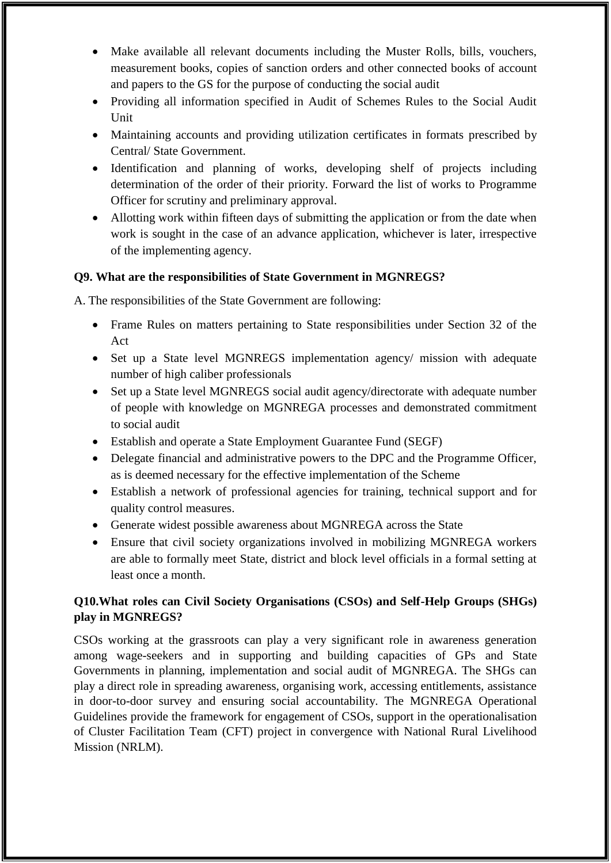- Make available all relevant documents including the Muster Rolls, bills, vouchers, measurement books, copies of sanction orders and other connected books of account and papers to the GS for the purpose of conducting the social audit
- Providing all information specified in Audit of Schemes Rules to the Social Audit Unit
- Maintaining accounts and providing utilization certificates in formats prescribed by Central/ State Government.
- Identification and planning of works, developing shelf of projects including determination of the order of their priority. Forward the list of works to Programme Officer for scrutiny and preliminary approval.
- Allotting work within fifteen days of submitting the application or from the date when work is sought in the case of an advance application, whichever is later, irrespective of the implementing agency.

## **Q9. What are the responsibilities of State Government in MGNREGS?**

A. The responsibilities of the State Government are following:

- Frame Rules on matters pertaining to State responsibilities under Section 32 of the Act
- Set up a State level MGNREGS implementation agency/ mission with adequate number of high caliber professionals
- Set up a State level MGNREGS social audit agency/directorate with adequate number of people with knowledge on MGNREGA processes and demonstrated commitment to social audit
- Establish and operate a State Employment Guarantee Fund (SEGF)
- Delegate financial and administrative powers to the DPC and the Programme Officer, as is deemed necessary for the effective implementation of the Scheme
- Establish a network of professional agencies for training, technical support and for quality control measures.
- Generate widest possible awareness about MGNREGA across the State
- Ensure that civil society organizations involved in mobilizing MGNREGA workers are able to formally meet State, district and block level officials in a formal setting at least once a month.

## **Q10.What roles can Civil Society Organisations (CSOs) and Self-Help Groups (SHGs) play in MGNREGS?**

CSOs working at the grassroots can play a very significant role in awareness generation among wage-seekers and in supporting and building capacities of GPs and State Governments in planning, implementation and social audit of MGNREGA. The SHGs can play a direct role in spreading awareness, organising work, accessing entitlements, assistance in door-to-door survey and ensuring social accountability. The MGNREGA Operational Guidelines provide the framework for engagement of CSOs, support in the operationalisation of Cluster Facilitation Team (CFT) project in convergence with National Rural Livelihood Mission (NRLM).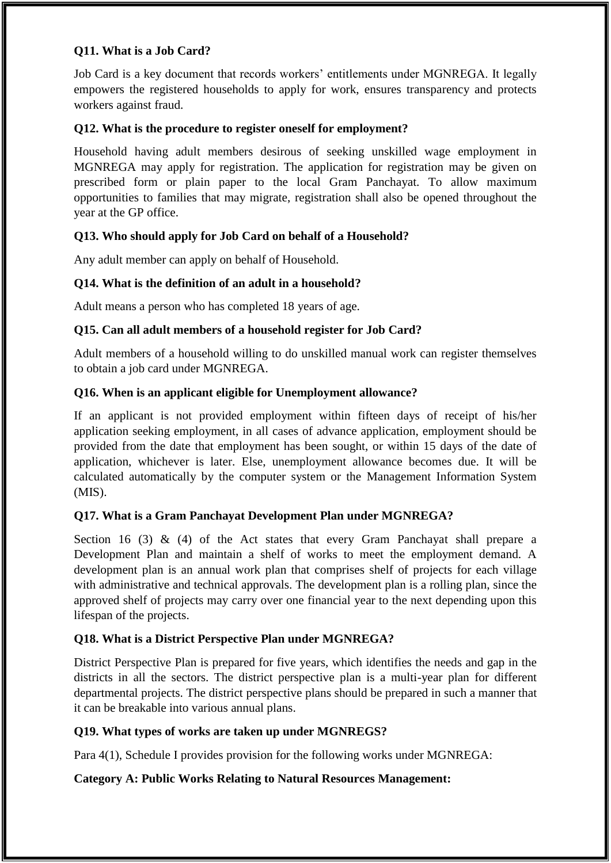## **Q11. What is a Job Card?**

Job Card is a key document that records workers' entitlements under MGNREGA. It legally empowers the registered households to apply for work, ensures transparency and protects workers against fraud.

## **Q12. What is the procedure to register oneself for employment?**

Household having adult members desirous of seeking unskilled wage employment in MGNREGA may apply for registration. The application for registration may be given on prescribed form or plain paper to the local Gram Panchayat. To allow maximum opportunities to families that may migrate, registration shall also be opened throughout the year at the GP office.

## **Q13. Who should apply for Job Card on behalf of a Household?**

Any adult member can apply on behalf of Household.

## **Q14. What is the definition of an adult in a household?**

Adult means a person who has completed 18 years of age.

## **Q15. Can all adult members of a household register for Job Card?**

Adult members of a household willing to do unskilled manual work can register themselves to obtain a job card under MGNREGA.

## **Q16. When is an applicant eligible for Unemployment allowance?**

If an applicant is not provided employment within fifteen days of receipt of his/her application seeking employment, in all cases of advance application, employment should be provided from the date that employment has been sought, or within 15 days of the date of application, whichever is later. Else, unemployment allowance becomes due. It will be calculated automatically by the computer system or the Management Information System (MIS).

### **Q17. What is a Gram Panchayat Development Plan under MGNREGA?**

Section 16 (3)  $\&$  (4) of the Act states that every Gram Panchayat shall prepare a Development Plan and maintain a shelf of works to meet the employment demand. A development plan is an annual work plan that comprises shelf of projects for each village with administrative and technical approvals. The development plan is a rolling plan, since the approved shelf of projects may carry over one financial year to the next depending upon this lifespan of the projects.

### **Q18. What is a District Perspective Plan under MGNREGA?**

District Perspective Plan is prepared for five years, which identifies the needs and gap in the districts in all the sectors. The district perspective plan is a multi-year plan for different departmental projects. The district perspective plans should be prepared in such a manner that it can be breakable into various annual plans.

### **Q19. What types of works are taken up under MGNREGS?**

Para 4(1), Schedule I provides provision for the following works under MGNREGA:

### **Category A: Public Works Relating to Natural Resources Management:**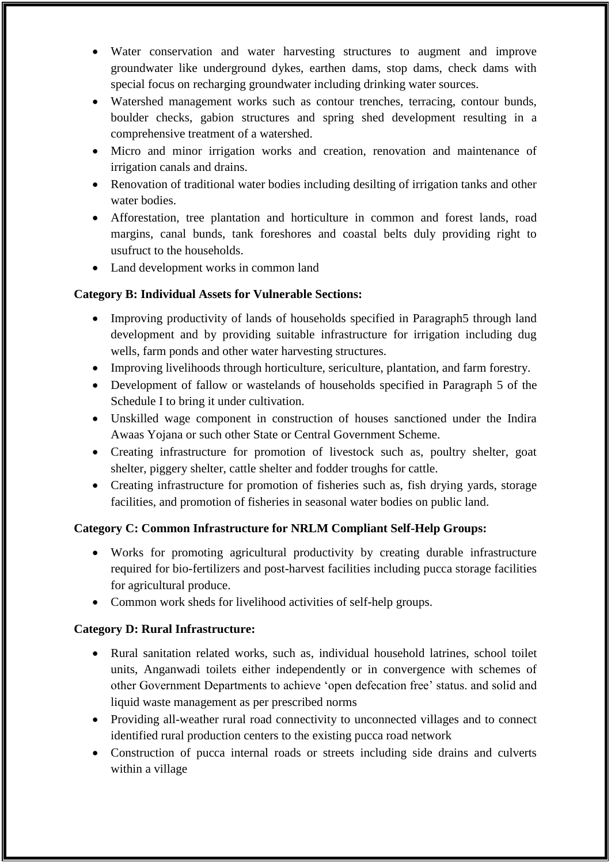- Water conservation and water harvesting structures to augment and improve groundwater like underground dykes, earthen dams, stop dams, check dams with special focus on recharging groundwater including drinking water sources.
- Watershed management works such as contour trenches, terracing, contour bunds, boulder checks, gabion structures and spring shed development resulting in a comprehensive treatment of a watershed.
- Micro and minor irrigation works and creation, renovation and maintenance of irrigation canals and drains.
- Renovation of traditional water bodies including desilting of irrigation tanks and other water bodies.
- Afforestation, tree plantation and horticulture in common and forest lands, road margins, canal bunds, tank foreshores and coastal belts duly providing right to usufruct to the households.
- Land development works in common land

# **Category B: Individual Assets for Vulnerable Sections:**

- Improving productivity of lands of households specified in Paragraph5 through land development and by providing suitable infrastructure for irrigation including dug wells, farm ponds and other water harvesting structures.
- Improving livelihoods through horticulture, sericulture, plantation, and farm forestry.
- Development of fallow or wastelands of households specified in Paragraph 5 of the Schedule I to bring it under cultivation.
- Unskilled wage component in construction of houses sanctioned under the Indira Awaas Yojana or such other State or Central Government Scheme.
- Creating infrastructure for promotion of livestock such as, poultry shelter, goat shelter, piggery shelter, cattle shelter and fodder troughs for cattle.
- Creating infrastructure for promotion of fisheries such as, fish drying yards, storage facilities, and promotion of fisheries in seasonal water bodies on public land.

# **Category C: Common Infrastructure for NRLM Compliant Self-Help Groups:**

- Works for promoting agricultural productivity by creating durable infrastructure required for bio-fertilizers and post-harvest facilities including pucca storage facilities for agricultural produce.
- Common work sheds for livelihood activities of self-help groups.

# **Category D: Rural Infrastructure:**

- Rural sanitation related works, such as, individual household latrines, school toilet units, Anganwadi toilets either independently or in convergence with schemes of other Government Departments to achieve "open defecation free" status. and solid and liquid waste management as per prescribed norms
- Providing all-weather rural road connectivity to unconnected villages and to connect identified rural production centers to the existing pucca road network
- Construction of pucca internal roads or streets including side drains and culverts within a village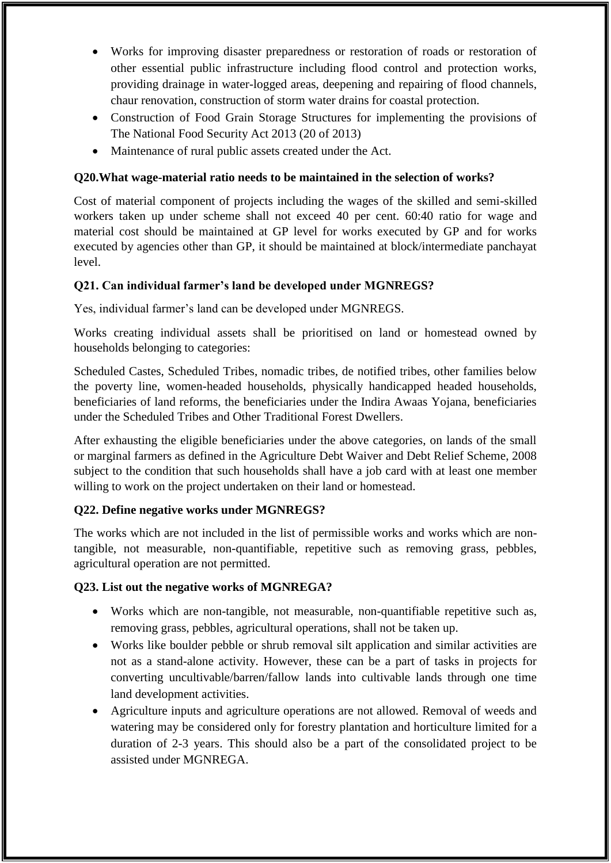- Works for improving disaster preparedness or restoration of roads or restoration of other essential public infrastructure including flood control and protection works, providing drainage in water-logged areas, deepening and repairing of flood channels, chaur renovation, construction of storm water drains for coastal protection.
- Construction of Food Grain Storage Structures for implementing the provisions of The National Food Security Act 2013 (20 of 2013)
- Maintenance of rural public assets created under the Act.

# **Q20.What wage-material ratio needs to be maintained in the selection of works?**

Cost of material component of projects including the wages of the skilled and semi-skilled workers taken up under scheme shall not exceed 40 per cent. 60:40 ratio for wage and material cost should be maintained at GP level for works executed by GP and for works executed by agencies other than GP, it should be maintained at block/intermediate panchayat level.

# **Q21. Can individual farmer's land be developed under MGNREGS?**

Yes, individual farmer's land can be developed under MGNREGS.

Works creating individual assets shall be prioritised on land or homestead owned by households belonging to categories:

Scheduled Castes, Scheduled Tribes, nomadic tribes, de notified tribes, other families below the poverty line, women-headed households, physically handicapped headed households, beneficiaries of land reforms, the beneficiaries under the Indira Awaas Yojana, beneficiaries under the Scheduled Tribes and Other Traditional Forest Dwellers.

After exhausting the eligible beneficiaries under the above categories, on lands of the small or marginal farmers as defined in the Agriculture Debt Waiver and Debt Relief Scheme, 2008 subject to the condition that such households shall have a job card with at least one member willing to work on the project undertaken on their land or homestead.

## **Q22. Define negative works under MGNREGS?**

The works which are not included in the list of permissible works and works which are nontangible, not measurable, non-quantifiable, repetitive such as removing grass, pebbles, agricultural operation are not permitted.

## **Q23. List out the negative works of MGNREGA?**

- Works which are non-tangible, not measurable, non-quantifiable repetitive such as, removing grass, pebbles, agricultural operations, shall not be taken up.
- Works like boulder pebble or shrub removal silt application and similar activities are not as a stand-alone activity. However, these can be a part of tasks in projects for converting uncultivable/barren/fallow lands into cultivable lands through one time land development activities.
- Agriculture inputs and agriculture operations are not allowed. Removal of weeds and watering may be considered only for forestry plantation and horticulture limited for a duration of 2-3 years. This should also be a part of the consolidated project to be assisted under MGNREGA.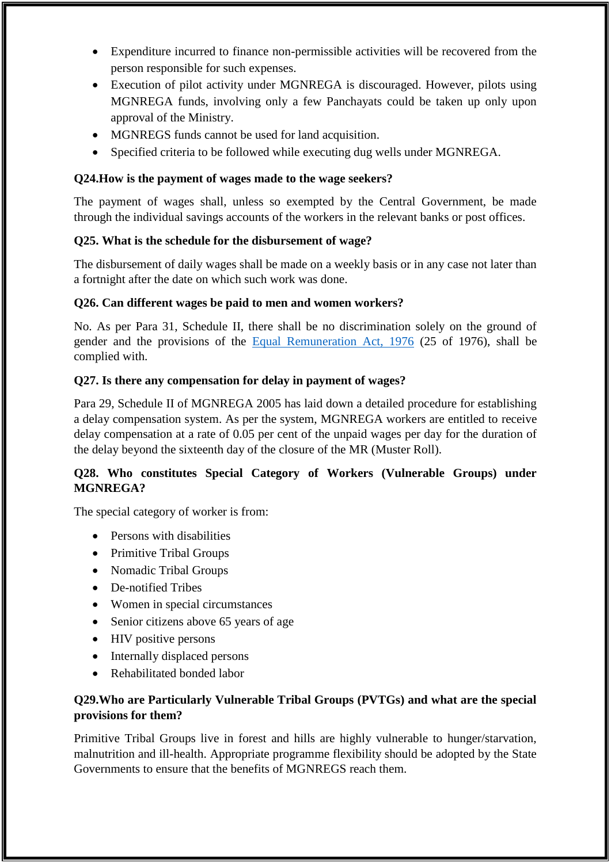- Expenditure incurred to finance non-permissible activities will be recovered from the person responsible for such expenses.
- Execution of pilot activity under MGNREGA is discouraged. However, pilots using MGNREGA funds, involving only a few Panchayats could be taken up only upon approval of the Ministry.
- MGNREGS funds cannot be used for land acquisition.
- Specified criteria to be followed while executing dug wells under MGNREGA.

## **Q24.How is the payment of wages made to the wage seekers?**

The payment of wages shall, unless so exempted by the Central Government, be made through the individual savings accounts of the workers in the relevant banks or post offices.

## **Q25. What is the schedule for the disbursement of wage?**

The disbursement of daily wages shall be made on a weekly basis or in any case not later than a fortnight after the date on which such work was done.

## **Q26. Can different wages be paid to men and women workers?**

No. As per Para 31, Schedule II, there shall be no discrimination solely on the ground of gender and the provisions of the [Equal Remuneration Act, 1976](https://www.indiacode.nic.in/handle/123456789/1494?locale=en#:~:text=India%20Code%3A%20Equal%20Remuneration%20Act%2C%201976&text=Long%20Title%3A,connected%20therewith%20or%20incidental%20thereto.) (25 of 1976), shall be complied with.

# **Q27. Is there any compensation for delay in payment of wages?**

Para 29, Schedule II of MGNREGA 2005 has laid down a detailed procedure for establishing a delay compensation system. As per the system, MGNREGA workers are entitled to receive delay compensation at a rate of 0.05 per cent of the unpaid wages per day for the duration of the delay beyond the sixteenth day of the closure of the MR (Muster Roll).

# **Q28. Who constitutes Special Category of Workers (Vulnerable Groups) under MGNREGA?**

The special category of worker is from:

- Persons with disabilities
- Primitive Tribal Groups
- Nomadic Tribal Groups
- De-notified Tribes
- Women in special circumstances
- Senior citizens above 65 years of age
- HIV positive persons
- Internally displaced persons
- Rehabilitated bonded labor

# **Q29.Who are Particularly Vulnerable Tribal Groups (PVTGs) and what are the special provisions for them?**

Primitive Tribal Groups live in forest and hills are highly vulnerable to hunger/starvation, malnutrition and ill-health. Appropriate programme flexibility should be adopted by the State Governments to ensure that the benefits of MGNREGS reach them.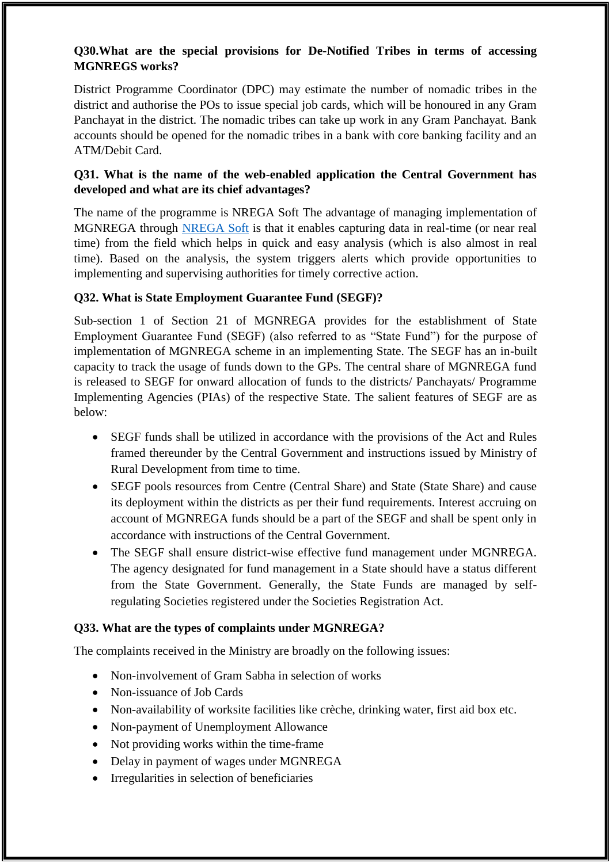### **Q30.What are the special provisions for De-Notified Tribes in terms of accessing MGNREGS works?**

District Programme Coordinator (DPC) may estimate the number of nomadic tribes in the district and authorise the POs to issue special job cards, which will be honoured in any Gram Panchayat in the district. The nomadic tribes can take up work in any Gram Panchayat. Bank accounts should be opened for the nomadic tribes in a bank with core banking facility and an ATM/Debit Card.

## **Q31. What is the name of the web-enabled application the Central Government has developed and what are its chief advantages?**

The name of the programme is NREGA Soft The advantage of managing implementation of MGNREGA through [NREGA Soft](https://www.nic.in/products/nregasoft/) is that it enables capturing data in real-time (or near real time) from the field which helps in quick and easy analysis (which is also almost in real time). Based on the analysis, the system triggers alerts which provide opportunities to implementing and supervising authorities for timely corrective action.

## **Q32. What is State Employment Guarantee Fund (SEGF)?**

Sub-section 1 of Section 21 of MGNREGA provides for the establishment of State Employment Guarantee Fund (SEGF) (also referred to as "State Fund") for the purpose of implementation of MGNREGA scheme in an implementing State. The SEGF has an in-built capacity to track the usage of funds down to the GPs. The central share of MGNREGA fund is released to SEGF for onward allocation of funds to the districts/ Panchayats/ Programme Implementing Agencies (PIAs) of the respective State. The salient features of SEGF are as below:

- SEGF funds shall be utilized in accordance with the provisions of the Act and Rules framed thereunder by the Central Government and instructions issued by Ministry of Rural Development from time to time.
- SEGF pools resources from Centre (Central Share) and State (State Share) and cause its deployment within the districts as per their fund requirements. Interest accruing on account of MGNREGA funds should be a part of the SEGF and shall be spent only in accordance with instructions of the Central Government.
- The SEGF shall ensure district-wise effective fund management under MGNREGA. The agency designated for fund management in a State should have a status different from the State Government. Generally, the State Funds are managed by selfregulating Societies registered under the Societies Registration Act.

### **Q33. What are the types of complaints under MGNREGA?**

The complaints received in the Ministry are broadly on the following issues:

- Non-involvement of Gram Sabha in selection of works
- Non-issuance of Job Cards
- Non-availability of worksite facilities like crèche, drinking water, first aid box etc.
- Non-payment of Unemployment Allowance
- Not providing works within the time-frame
- Delay in payment of wages under MGNREGA
- Irregularities in selection of beneficiaries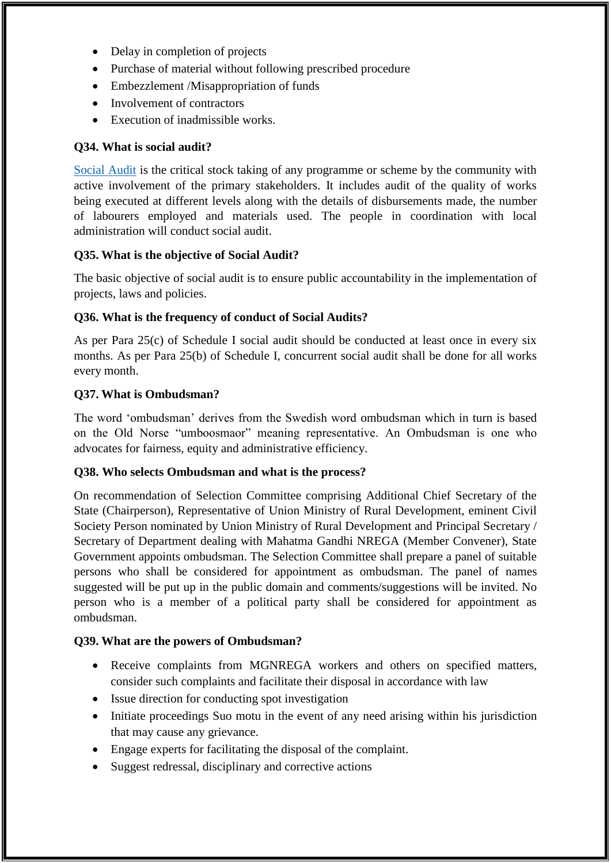- Delay in completion of projects
- Purchase of material without following prescribed procedure
- Embezzlement /Misappropriation of funds
- Involvement of contractors
- Execution of inadmissible works.

## **Q34. What is social audit?**

[Social Audit](https://nrega.nic.in/netnrega/SocialAuditFindings/SA_home.aspx) is the critical stock taking of any programme or scheme by the community with active involvement of the primary stakeholders. It includes audit of the quality of works being executed at different levels along with the details of disbursements made, the number of labourers employed and materials used. The people in coordination with local administration will conduct social audit.

## **Q35. What is the objective of Social Audit?**

The basic objective of social audit is to ensure public accountability in the implementation of projects, laws and policies.

## **Q36. What is the frequency of conduct of Social Audits?**

As per Para 25(c) of Schedule I social audit should be conducted at least once in every six months. As per Para 25(b) of Schedule I, concurrent social audit shall be done for all works every month.

### **Q37. What is Ombudsman?**

The word "ombudsman" derives from the Swedish word ombudsman which in turn is based on the Old Norse "umboosmaor" meaning representative. An Ombudsman is one who advocates for fairness, equity and administrative efficiency.

### **Q38. Who selects Ombudsman and what is the process?**

On recommendation of Selection Committee comprising Additional Chief Secretary of the State (Chairperson), Representative of Union Ministry of Rural Development, eminent Civil Society Person nominated by Union Ministry of Rural Development and Principal Secretary / Secretary of Department dealing with Mahatma Gandhi NREGA (Member Convener), State Government appoints ombudsman. The Selection Committee shall prepare a panel of suitable persons who shall be considered for appointment as ombudsman. The panel of names suggested will be put up in the public domain and comments/suggestions will be invited. No person who is a member of a political party shall be considered for appointment as ombudsman.

### **Q39. What are the powers of Ombudsman?**

- Receive complaints from MGNREGA workers and others on specified matters, consider such complaints and facilitate their disposal in accordance with law
- Issue direction for conducting spot investigation
- Initiate proceedings Suo motu in the event of any need arising within his jurisdiction that may cause any grievance.
- Engage experts for facilitating the disposal of the complaint.
- Suggest redressal, disciplinary and corrective actions